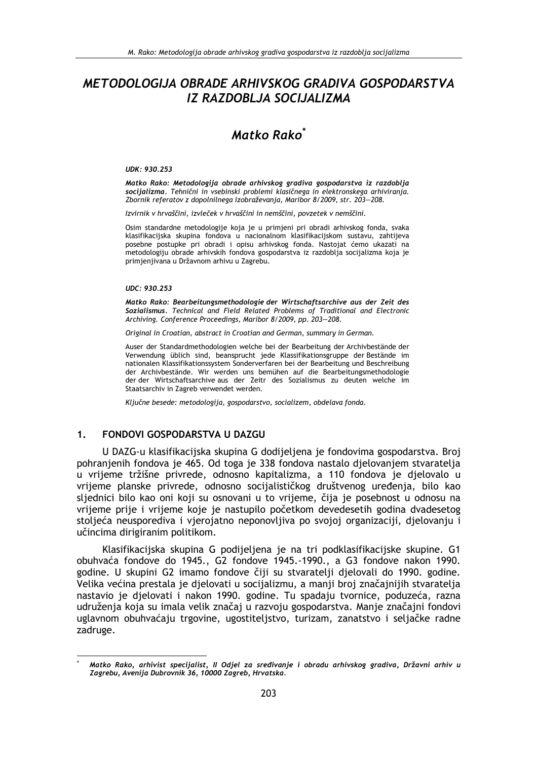# METODOLOGIJA OBRADE ARHIVSKOG GRADIVA GOSPODARSTVA IZ RAZDOBLJA SOCIJALIZMA

# Matko Rako<sup>\*</sup>

### UDK: 930.253

Matko Rako: Metodologija obrade arhivskog gradiya gospodarstya iz razdoblja socijalizma. Tehnični in vsebinski problemi klasičnega in elektronskega arhiviranja. Zbornik referatov z dopolnilnega izobraževanja, Maribor 8/2009, str. 203-208.

Izvirnik v hrvaščini, izvleček v hrvaščini in nemščini, povzetek v nemščini.

Osim standardne metodologije koja je u primjeni pri obradi arhivskog fonda, svaka klasifikacijska skupina fondova u nacionalnom klasifikacijskom sustavu, zahtijeva posebne postupke pri obradi i opisu arhivskog fonda. Nastojat ćemo ukazati na metodologiju obrade arhivskih fondova gospodarstva iz razdoblja socijalizma koja je primjenjivana u Državnom arhivu u Zagrebu.

### UDC: 930.253

Matko Rako: Bearbeitungsmethodologie der Wirtschaftsarchive aus der Zeit des Sozialismus. Technical and Field Related Problems of Traditional and Electronic Archiving. Conference Proceedings, Maribor 8/2009, pp. 203-208.

Original in Croatian, abstract in Croatian and German, summary in German.

Auser der Standardmethodologien welche bei der Bearbeitung der Archivbestände der Verwendung üblich sind, beansprucht jede Klassifikationsgruppe der Bestände im nationalen Klassifikationssystem Sonderverfaren bei der Bearbeitung und Beschreibung der Archivbestände. Wir werden uns bemühen auf die Bearbeitungsmethodologie der der Wirtschaftsarchive aus der Zeitr des Sozialismus zu deuten welche im Staatsarchiv in Zagreb verwendet werden.

Ključne besede: metodologija, gospodarstvo, socializem, obdelava fonda.

#### $1.$ **FONDOVI GOSPODARSTVA U DAZGU**

U DAZG-u klasifikacijska skupina G dodijeljena je fondovima gospodarstva. Broj pohranjenih fondova je 465. Od toga je 338 fondova nastalo djelovanjem stvaratelja u vrijeme tržišne privrede, odnosno kapitalizma, a 110 fondova je djelovalo u vrijeme planske privrede, odnosno socijalističkog društvenog uređenja, bilo kao sljednici bilo kao oni koji su osnovani u to vrijeme, čija je posebnost u odnosu na vrijeme prije i vrijeme koje je nastupilo početkom devedesetih godina dvadesetog stoljeća neusporediva i vjerojatno neponovljiva po svojoj organizaciji, djelovanju i učincima dirigiranim politikom.

Klasifikacijska skupina G podijeljena je na tri podklasifikacijske skupine. G1 obuhvaća fondove do 1945., G2 fondove 1945.-1990., a G3 fondove nakon 1990. godine. U skupini G2 imamo fondove čiji su stvaratelji djelovali do 1990. godine. Velika većina prestala je djelovati u socijalizmu, a manji broj značajnijih stvaratelja nastavio je djelovati i nakon 1990. godine. Tu spadaju tvornice, poduzeća, razna udruženja koja su imala velik značaj u razvoju gospodarstva. Manje značajni fondovi uglavnom obuhvaćaju trgovine, ugostiteljstvo, turizam, zanatstvo i seljačke radne zadruge.

Matko Rako, arhivist specijalist, II Odjel za sređivanje i obradu arhivskog gradiva, Državni arhiv u Zagrebu, Avenija Dubrovnik 36, 10000 Zagreb, Hrvatska.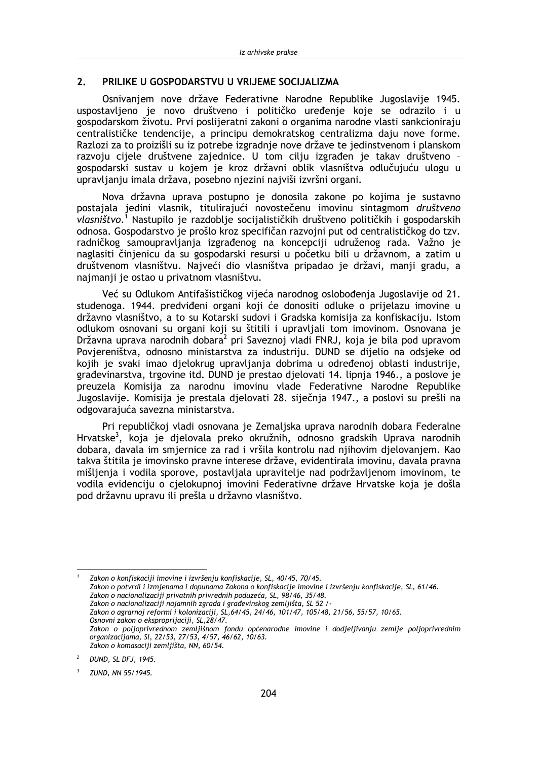#### $2.$ PRILIKE U GOSPODARSTVU U VRIJEME SOCIJALIZMA

Osnivaniem nove države Federativne Narodne Republike Jugoslavije 1945. uspostavljeno je novo društveno i političko uređenje koje se odrazilo i u gospodarskom životu. Prvi poslijeratni zakoni o organima narodne vlasti sankcioniraju centralističke tendencije, a principu demokratskog centralizma daju nove forme. Razlozi za to proizišli su iz potrebe izgradnje nove države te jedinstvenom i planskom razvoju cijele društvene zajednice. U tom cilju izgrađen je takav društveno gospodarski sustav u kojem je kroz državni oblik vlasništva odlučujuću ulogu u upravljanju imala država, posebno njezini najviši izvršni organi.

Nova državna uprava postupno je donosila zakone po kojima je sustavno postajala jedini vlasnik, titulirajući novostečenu imovinu sintagmom društveno vlasništvo.<sup>1</sup> Nastupilo je razdoblje socijalističkih društveno političkih i gospodarskih odnosa. Gospodarstvo je prošlo kroz specifičan razvojni put od centralističkog do tzv. radničkog samoupravljanja izgrađenog na koncepciji udruženog rada. Važno je naglasiti činjenicu da su gospodarski resursi u početku bili u državnom, a zatim u društvenom vlasništvu. Najveći dio vlasništva pripadao je državi, manji gradu, a najmanji je ostao u privatnom vlasništvu.

Već su Odlukom Antifašističkog vijeća narodnog oslobođenja Jugoslavije od 21. studenoga. 1944. predviđeni organi koji će donositi odluke o prijelazu imovine u državno vlasništvo, a to su Kotarski sudovi i Gradska komisija za konfiskaciju. Istom odlukom osnovani su organi koji su štitili i upravljali tom imovinom. Osnovana je Državna uprava narodnih dobara<sup>2</sup> pri Saveznoj vladi FNRJ, koja je bila pod upravom Povjereništva, odnosno ministarstva za industriju. DUND se dijelio na odsjeke od kojih je svaki imao djelokrug upravljanja dobrima u određenoj oblasti industrije, građevinarstva, trgovine itd. DUND je prestao djelovati 14. lipnja 1946., a poslove je preuzela Komisija za narodnu imovinu vlade Federativne Narodne Republike Jugoslavije. Komisija je prestala djelovati 28. siječnja 1947., a poslovi su prešli na odgovarajuća savezna ministarstva.

Pri republičkoj vladi osnovana je Zemaljska uprava narodnih dobara Federalne Hrvatske<sup>3</sup>, koja je djelovala preko okružnih, odnosno gradskih Uprava narodnih dobara, davala im smjernice za rad i vršila kontrolu nad njihovim djelovanjem. Kao takva štitila je imovinsko pravne interese države, evidentirala imovinu, davala pravna mišljenja i vodila sporove, postavljala upravitelje nad podržavljenom imovinom, te vodila evidenciju o cjelokupnoj imovini Federativne države Hrvatske koja je došla pod državnu upravu ili prešla u državno vlasništvo.

Zakon o konfiskaciji imovine i izvršenju konfiskacije, SL, 40/45, 70/45.

Zakon o potvrdi i izmjenama i dopunama Zakona o konfiskacije imovine i izvršenju konfiskacije, SL, 61/46.

Zakon o nacionalizaciji privatnih privrednih poduzeća, SL, 98/46, 35/48.

Zakon o nacionalizaciji najamnih zgrada i građevinskog zemljišta, SL 52 /

Zakon o agrarnoj reformi i kolonizaciji, SL, 64/45, 24/46, 101/47, 105/48, 21/56, 55/57, 10/65. Osnovni zakon o eksproprijaciji, SL, 28/47.

zakon o poljoprivrednom zemljišnom fondu općenarodne imovine i dodjeljivanju zemlje poljoprivrednim<br>Zakon o poljoprivrednom zemljišnom fondu općenarodne imovine i dodjeljivanju zemlje poljoprivrednim Zakon o komasaciji zemljišta, NN, 60/54.

DUND, SL DFJ, 1945.

ZUND, NN 55/1945.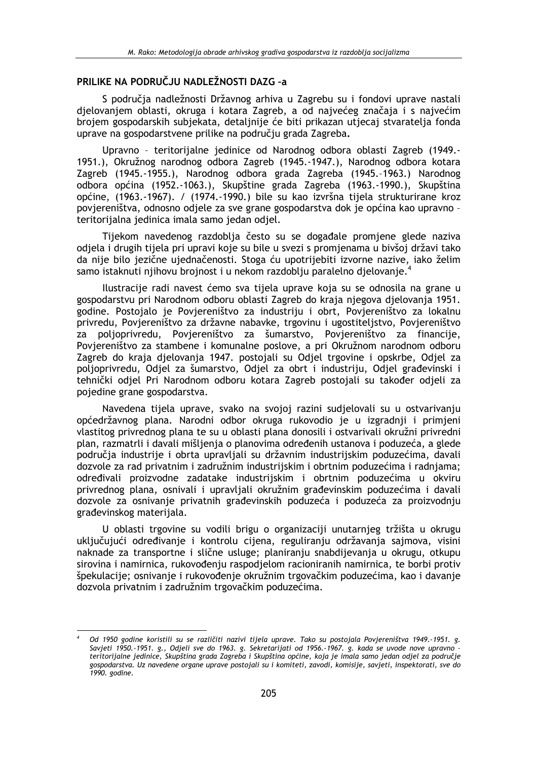## PRILIKE NA PODRUČJU NADLEŽNOSTI DAZG -a

S područia nadležnosti Državnog arhiva u Zagrebu su i fondovi uprave nastali djelovanjem oblasti, okruga i kotara Zagreb, a od najvećeg značaja i s najvećim brojem gospodarskih subjekata, detaljnije će biti prikazan utjecaj stvaratelja fonda uprave na gospodarstvene prilike na području grada Zagreba.

Upravno - teritorijalne jedinice od Narodnog odbora oblasti Zagreb (1949.-1951.), Okružnog narodnog odbora Zagreb (1945.-1947.), Narodnog odbora kotara Zagreb (1945.-1955.), Narodnog odbora grada Zagreba (1945.-1963.) Narodnog odbora općina (1952.-1063.), Skupštine grada Zagreba (1963.-1990.), Skupština općine, (1963.-1967). / (1974.-1990.) bile su kao izvršna tijela strukturirane kroz povjereništva, odnosno odjele za sve grane gospodarstva dok je općina kao upravno teritorijalna jedinica imala samo jedan odjel.

Tijekom navedenog razdoblja često su se događale promjene glede naziva odjela i drugih tijela pri upravi koje su bile u svezi s promjenama u bivšoj državi tako da nije bilo jezične ujednačenosti. Stoga ću upotrijebiti izvorne nazive, iako želim samo istaknuti njihovu brojnost i u nekom razdoblju paralelno djelovanje.

Ilustracije radi navest ćemo sva tijela uprave koja su se odnosila na grane u gospodarstvu pri Narodnom odboru oblasti Zagreb do kraja njegova djelovanja 1951. godine. Postojalo je Povjereništvo za industriju i obrt, Povjereništvo za lokalnu privredu, Povjereništvo za državne nabavke, trgovinu i ugostiteljstvo, Povjereništvo za polioprivredu, Poviereništvo za šumarstvo, Poviereništvo za financije, Povjereništvo za stambene i komunalne poslove, a pri Okružnom narodnom odboru Zagreb do kraja djelovanja 1947. postojali su Odjel trgovine i opskrbe, Odjel za poljoprivredu, Odjel za šumarstvo, Odjel za obrt i industriju, Odjel građevinski i tehnički odjel Pri Narodnom odboru kotara Zagreb postojali su također odjeli za pojedine grane gospodarstva.

Navedena tijela uprave, svako na svojoj razini sudjelovali su u ostvarivanju općedržavnog plana. Narodni odbor okruga rukovodio je u izgradnij i primjeni vlastitog privrednog plana te su u oblasti plana donosili i ostvarivali okružni privredni plan, razmatrli i davali mišlienia o planovima određenih ustanova i poduzeća, a glede područia industrije i obrta upravljali su državnim industrijskim poduzećima, davali dozvole za rad privatnim i zadružnim industrijskim i obrtnim poduzećima i radnjama; određivali proizvodne zadatake industrijskim i obrtnim poduzećima u okviru privrednog plana, osnivali i upravljali okružnim građevinskim poduzećima i davali dozvole za osnivanje privatnih građevinskih poduzeća i poduzeća za proizvodnju građevinskog materijala.

U oblasti trgovine su vodili brigu o organizaciji unutarnjeg tržišta u okrugu uključujući određivanje i kontrolu cijena, reguliranju održavanja sajmova, visini naknade za transportne i slične usluge; planiranju snabdijevanja u okrugu, otkupu sirovina i namirnica, rukovođenju raspodjelom racioniranih namirnica, te borbi protiv špekulacije; osnivanje i rukovođenje okružnim trgovačkim poduzećima, kao i davanje dozvola privatnim i zadružnim trgovačkim poduzećima.

Od 1950 godine koristili su se različiti nazivi tijela uprave. Tako su postojala Povjereništva 1949.-1951. g. Savjeti 1950.-1951. g., Odjeli sve do 1963. g. Sekretarijati od 1956.-1967. g. kada se uvode nove upravno teritorijalne jedinice, Skupština grada Zagreba i Skupština općine, koja je imala samo jedan odjel za područje gospodarstva. Uz navedene organe uprave postojali su i komiteti, zavodi, komisije, savjeti, inspektorati, sve do 1990. godine.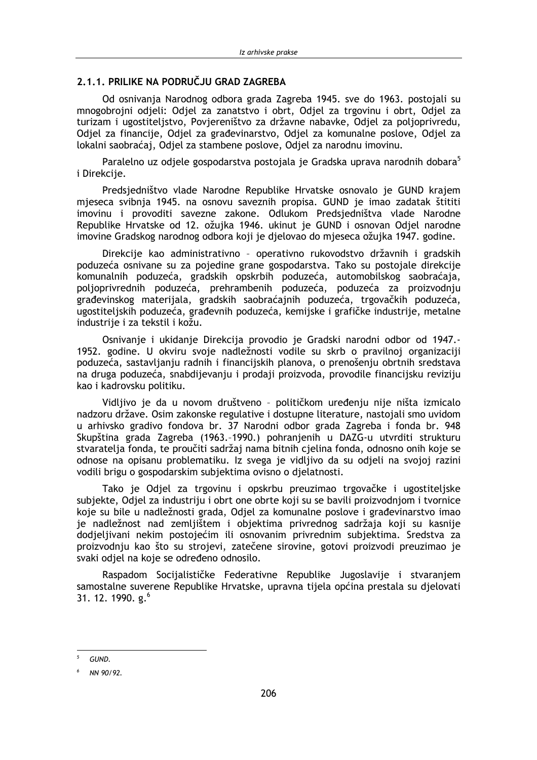## 2.1.1. PRILIKE NA PODRUČJU GRAD ZAGREBA

Od osnivania Narodnog odbora grada Zagreba 1945, sve do 1963, postojali su mnogobrojni odjeli: Odjel za zanatstvo i obrt, Odjel za trgovinu i obrt, Odjel za turizam i ugostiteljstvo, Povjereništvo za državne nabavke, Odjel za poljoprivredu, Odjel za financije, Odjel za građevinarstvo, Odjel za komunalne poslove, Odjel za lokalni saobraćaj, Odjel za stambene poslove, Odjel za narodnu imovinu.

Paralelno uz odjele gospodarstva postojala je Gradska uprava narodnih dobara<sup>5</sup> i Direkcije.

Predsjedništvo vlade Narodne Republike Hrvatske osnovalo je GUND krajem mieseca svibnia 1945. na osnovu saveznih propisa. GUND je imao zadatak štititi imovinu i provoditi savezne zakone. Odlukom Predsjedništva vlade Narodne Republike Hrvatske od 12. ožujka 1946. ukinut je GUND i osnovan Odjel narodne imovine Gradskog narodnog odbora koji je djelovao do mjeseca ožujka 1947. godine.

Direkcije kao administrativno - operativno rukovodstvo državnih i gradskih poduzeća osnivane su za pojedine grane gospodarstva. Tako su postojale direkcije komunalnih poduzeća, gradskih opskrbih poduzeća, automobilskog saobraćaja, polioprivrednih poduzeća, prehrambenih poduzeća, poduzeća za proizvodnju građevinskog materijala, gradskih saobraćajnih poduzeća, trgovačkih poduzeća, ugostiteljskih poduzeća, građevnih poduzeća, kemijske i grafičke industrije, metalne industrije i za tekstil i kožu.

Osnivanje i ukidanje Direkcija provodio je Gradski narodni odbor od 1947.-1952. godine. U okviru svoje nadležnosti vodile su skrb o pravilnoj organizaciji poduzeća, sastavljanju radnih i financijskih planova, o prenošenju obrtnih sredstava na druga poduzeća, snabdijevanju i prodaji proizvoda, provodile financijsku reviziju kao i kadrovsku politiku.

Vidljivo je da u novom društveno - političkom uređenju nije ništa izmicalo nadzoru države. Osim zakonske regulative i dostupne literature, nastojali smo uvidom u arhivsko gradivo fondova br. 37 Narodni odbor grada Zagreba i fonda br. 948 Skupština grada Zagreba (1963.-1990.) pohranjenih u DAZG-u utvrditi strukturu stvaratelia fonda, te proučiti sadržaj nama bitnih cielina fonda, odnosno onih koje se odnose na opisanu problematiku. Iz svega je vidlijvo da su odjeli na svojoj razini vodili brigu o gospodarskim subiektima ovisno o dielatnosti.

Tako je Odjel za trgovinu i opskrbu preuzimao trgovačke i ugostiteljske subjekte, Odjel za industriju i obrt one obrte koji su se bavili proizvodnjom i tvornice koje su bile u nadležnosti grada, Odjel za komunalne poslove i građevinarstvo imao je nadležnost nad zemljištem i objektima privrednog sadržaja koji su kasnije dodjeljivani nekim postojećim ili osnovanim privrednim subjektima. Sredstva za proizvodnju kao što su strojevi, zatečene sirovine, gotovi proizvodi preuzimao je svaki odjel na koje se određeno odnosilo.

Raspadom Socijalističke Federativne Republike Jugoslavije i stvaranjem samostalne suverene Republike Hrvatske, upravna tijela općina prestala su djelovati 31. 12. 1990.  $g^6$ 

GUND.

NN 90/92.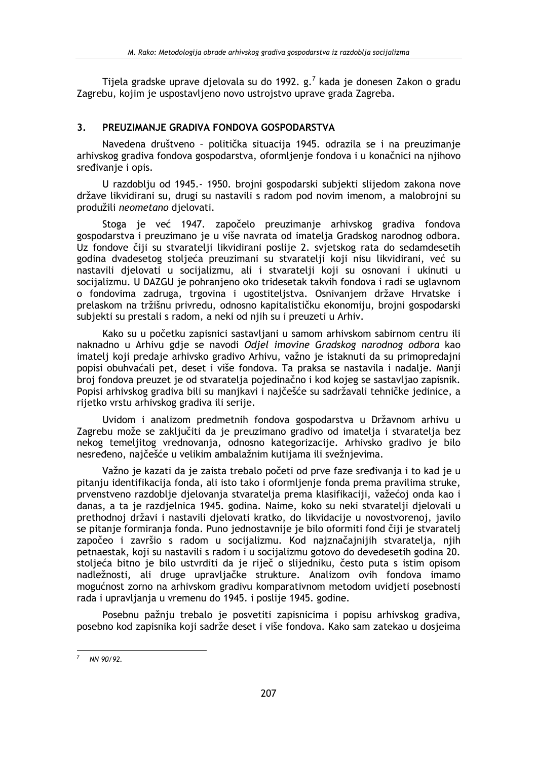Tijela gradske uprave djelovala su do 1992. g.<sup>7</sup> kada je donesen Zakon o gradu Zagrebu, kojim je uspostavljeno novo ustrojstvo uprave grada Zagreba.

#### $\overline{\mathbf{3}}$ PRELIZIMAN JE GRADIVA FONDOVA GOSPODARSTVA

Navedena društveno - politička situacija 1945. odrazila se i na preuzimanje arhivskog gradiva fondova gospodarstva, oformljenje fondova i u konačnici na njihovo sredivanje i opis.

U razdoblju od 1945.- 1950. brojni gospodarski subjekti slijedom zakona nove države likvidirani su, drugi su nastavili s radom pod novim imenom, a malobrojni su produžili neometano djelovati.

Stoga je već 1947. započelo preuzimanje arhivskog gradiva fondova gospodarstva i preuzimano je u više navrata od imatelja Gradskog narodnog odbora. Uz fondove čiji su stvaratelji likvidirani poslije 2. svjetskog rata do sedamdesetih godina dvadesetog stoljeća preuzimani su stvaratelji koji nisu likvidirani, već su nastavili djelovati u socijalizmu, ali i stvaratelji koji su osnovani i ukinuti u socijalizmu. U DAZGU je pohranjeno oko tridesetak takvih fondova i radi se uglavnom o fondovima zadruga, trgovina i ugostiteljstva. Osnivanjem države Hrvatske i prelaskom na tržišnu privredu, odnosno kapitalističku ekonomiju, brojni gospodarski subjekti su prestali s radom, a neki od njih su i preuzeti u Arhiv.

Kako su u početku zapisnici sastavljani u samom arhivskom sabirnom centru ili naknadno u Arhivu gdje se navodi Odjel imovine Gradskog narodnog odbora kao imatelj koji predaje arhivsko gradivo Arhivu, važno je istaknuti da su primopredajni popisi obuhvaćali pet, deset i više fondova. Ta praksa se nastavila i nadalje. Manji broj fondova preuzet je od stvaratelja pojedinačno i kod kojeg se sastavljao zapisnik. Popisi arhivskog gradiva bili su manjkavi i najčešće su sadržavali tehničke jedinice, a rijetko vrstu arhivskog gradiva ili serije.

Uvidom i analizom predmetnih fondova gospodarstva u Državnom arhivu u Zagrebu može se zaključiti da je preuzimano gradivo od imatelja i stvaratelja bez nekog temeljitog vrednovanja, odnosno kategorizacije. Arhivsko gradivo je bilo nesređeno, najčešće u velikim ambalažnim kutijama ili svežnjevima.

Važno je kazati da je zajsta trebalo početi od prve faze sređivanja i to kad je u pitanju identifikacija fonda, ali isto tako i oformljenje fonda prema pravilima struke, prvenstveno razdoblje djelovanja stvaratelja prema klasifikaciji, važećoj onda kao i danas, a ta je razdjelnica 1945. godina. Naime, koko su neki stvaratelji djelovali u prethodnoj državi i nastavili djelovati kratko, do likvidacije u novostvorenoj, javilo se pitanje formiranja fonda. Puno jednostavnije je bilo oformiti fond čiji je stvaratelj započeo i završio s radom u socijalizmu. Kod najznačajnijih stvaratelja, njih petnaestak, koji su nastavili s radom i u socijalizmu gotovo do devedesetih godina 20. stoljeća bitno je bilo ustvrditi da je riječ o slijedniku, često puta s istim opisom nadležnosti, ali druge upravljačke strukture. Analizom ovih fondova imamo mogućnost zorno na arhivskom gradivu komparativnom metodom uvidjeti posebnosti rada i upravljanja u vremenu do 1945. i poslije 1945. godine.

Posebnu pažnju trebalo je posvetiti zapisnicima i popisu arhivskog gradiva, posebno kod zapisnika koji sadrže deset i više fondova. Kako sam zatekao u dosjeima

 $7$  NN 90/92.